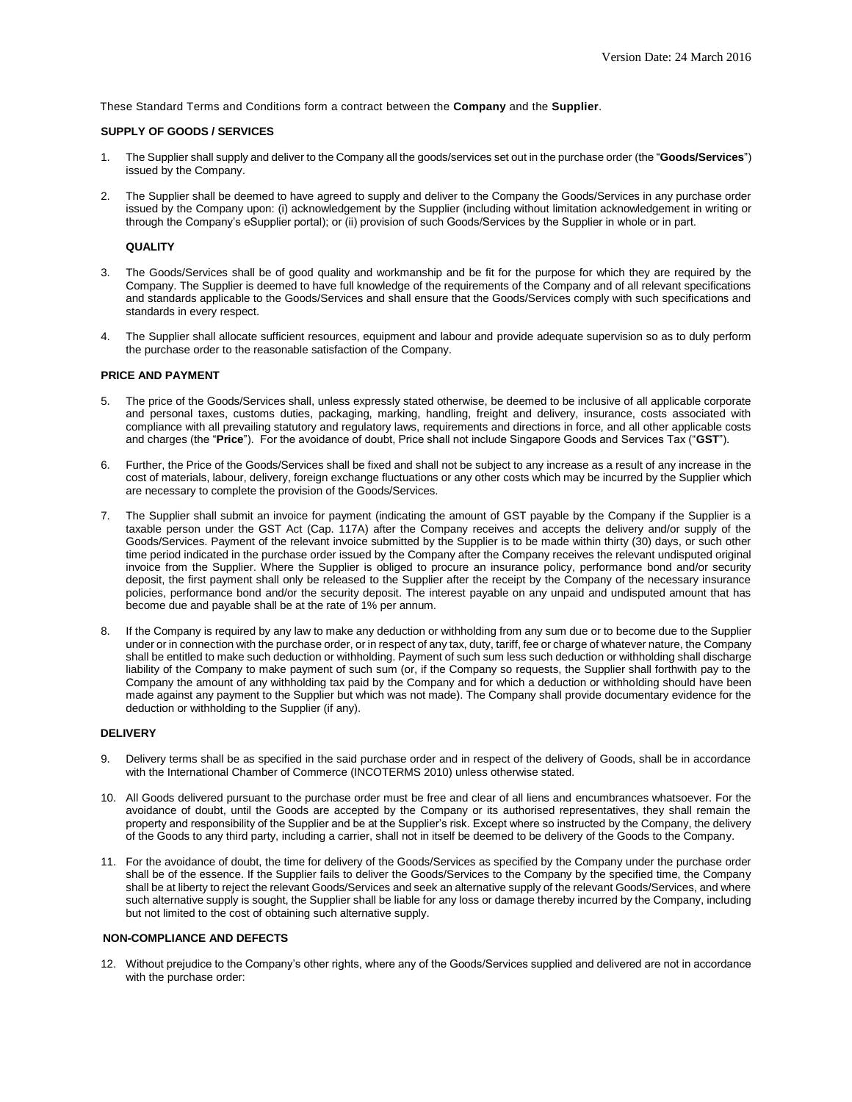These Standard Terms and Conditions form a contract between the **Company** and the **Supplier**.

## **SUPPLY OF GOODS / SERVICES**

- 1. The Supplier shall supply and deliver to the Company all the goods/services set out in the purchase order (the "**Goods/Services**") issued by the Company.
- 2. The Supplier shall be deemed to have agreed to supply and deliver to the Company the Goods/Services in any purchase order issued by the Company upon: (i) acknowledgement by the Supplier (including without limitation acknowledgement in writing or through the Company's eSupplier portal); or (ii) provision of such Goods/Services by the Supplier in whole or in part.

#### **QUALITY**

- 3. The Goods/Services shall be of good quality and workmanship and be fit for the purpose for which they are required by the Company. The Supplier is deemed to have full knowledge of the requirements of the Company and of all relevant specifications and standards applicable to the Goods/Services and shall ensure that the Goods/Services comply with such specifications and standards in every respect.
- 4. The Supplier shall allocate sufficient resources, equipment and labour and provide adequate supervision so as to duly perform the purchase order to the reasonable satisfaction of the Company.

#### **PRICE AND PAYMENT**

- 5. The price of the Goods/Services shall, unless expressly stated otherwise, be deemed to be inclusive of all applicable corporate and personal taxes, customs duties, packaging, marking, handling, freight and delivery, insurance, costs associated with compliance with all prevailing statutory and regulatory laws, requirements and directions in force, and all other applicable costs and charges (the "**Price**"). For the avoidance of doubt, Price shall not include Singapore Goods and Services Tax ("**GST**").
- 6. Further, the Price of the Goods/Services shall be fixed and shall not be subject to any increase as a result of any increase in the cost of materials, labour, delivery, foreign exchange fluctuations or any other costs which may be incurred by the Supplier which are necessary to complete the provision of the Goods/Services.
- 7. The Supplier shall submit an invoice for payment (indicating the amount of GST payable by the Company if the Supplier is a taxable person under the GST Act (Cap. 117A) after the Company receives and accepts the delivery and/or supply of the Goods/Services. Payment of the relevant invoice submitted by the Supplier is to be made within thirty (30) days, or such other time period indicated in the purchase order issued by the Company after the Company receives the relevant undisputed original invoice from the Supplier. Where the Supplier is obliged to procure an insurance policy, performance bond and/or security deposit, the first payment shall only be released to the Supplier after the receipt by the Company of the necessary insurance policies, performance bond and/or the security deposit. The interest payable on any unpaid and undisputed amount that has become due and payable shall be at the rate of 1% per annum.
- If the Company is required by any law to make any deduction or withholding from any sum due or to become due to the Supplier under or in connection with the purchase order, or in respect of any tax, duty, tariff, fee or charge of whatever nature, the Company shall be entitled to make such deduction or withholding. Payment of such sum less such deduction or withholding shall discharge liability of the Company to make payment of such sum (or, if the Company so requests, the Supplier shall forthwith pay to the Company the amount of any withholding tax paid by the Company and for which a deduction or withholding should have been made against any payment to the Supplier but which was not made). The Company shall provide documentary evidence for the deduction or withholding to the Supplier (if any).

### **DELIVERY**

- 9. Delivery terms shall be as specified in the said purchase order and in respect of the delivery of Goods, shall be in accordance with the International Chamber of Commerce (INCOTERMS 2010) unless otherwise stated.
- 10. All Goods delivered pursuant to the purchase order must be free and clear of all liens and encumbrances whatsoever. For the avoidance of doubt, until the Goods are accepted by the Company or its authorised representatives, they shall remain the property and responsibility of the Supplier and be at the Supplier's risk. Except where so instructed by the Company, the delivery of the Goods to any third party, including a carrier, shall not in itself be deemed to be delivery of the Goods to the Company.
- 11. For the avoidance of doubt, the time for delivery of the Goods/Services as specified by the Company under the purchase order shall be of the essence. If the Supplier fails to deliver the Goods/Services to the Company by the specified time, the Company shall be at liberty to reject the relevant Goods/Services and seek an alternative supply of the relevant Goods/Services, and where such alternative supply is sought, the Supplier shall be liable for any loss or damage thereby incurred by the Company, including but not limited to the cost of obtaining such alternative supply.

#### **NON-COMPLIANCE AND DEFECTS**

12. Without prejudice to the Company's other rights, where any of the Goods/Services supplied and delivered are not in accordance with the purchase order: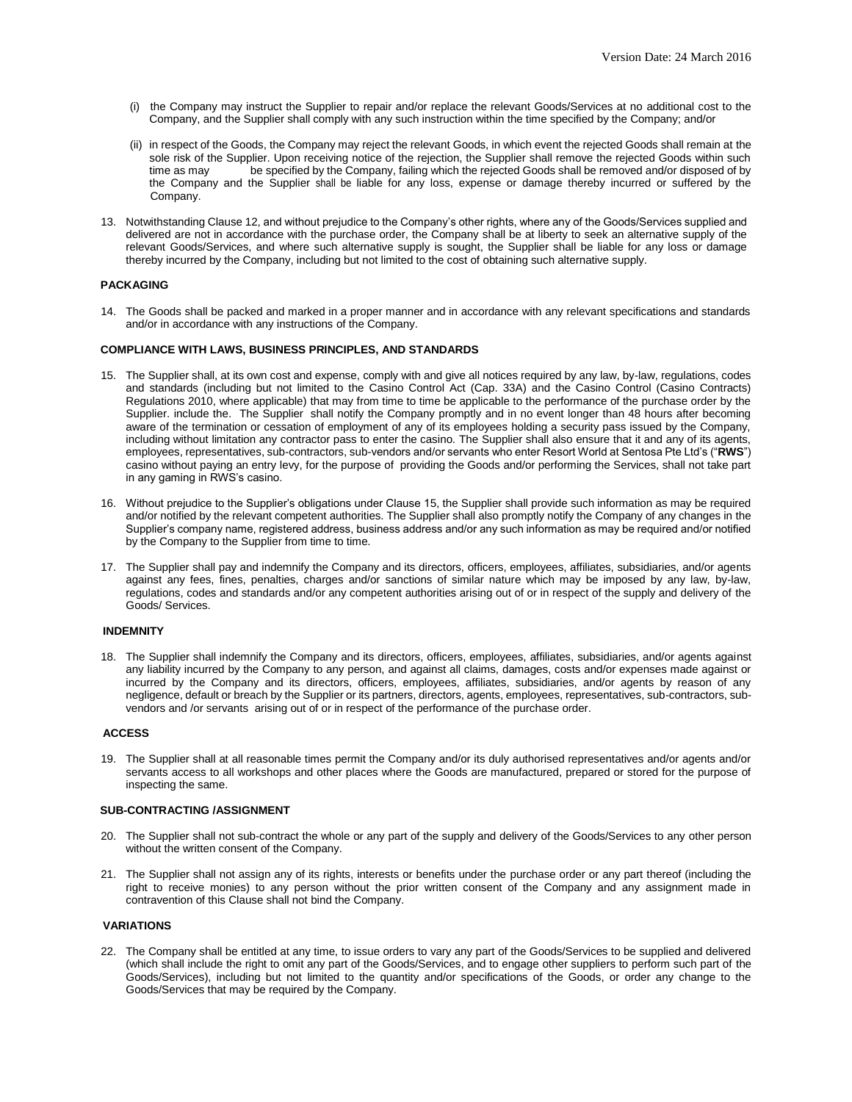- (i) the Company may instruct the Supplier to repair and/or replace the relevant Goods/Services at no additional cost to the Company, and the Supplier shall comply with any such instruction within the time specified by the Company; and/or
- (ii) in respect of the Goods, the Company may reject the relevant Goods, in which event the rejected Goods shall remain at the sole risk of the Supplier. Upon receiving notice of the rejection, the Supplier shall remove the rejected Goods within such time as may be specified by the Company, failing which the rejected Goods shall be removed and/or disposed of by the Company and the Supplier shall be liable for any loss, expense or damage thereby incurred or suffered by the Company.
- 13. Notwithstanding Clause 12, and without prejudice to the Company's other rights, where any of the Goods/Services supplied and delivered are not in accordance with the purchase order, the Company shall be at liberty to seek an alternative supply of the relevant Goods/Services, and where such alternative supply is sought, the Supplier shall be liable for any loss or damage thereby incurred by the Company, including but not limited to the cost of obtaining such alternative supply.

#### **PACKAGING**

14. The Goods shall be packed and marked in a proper manner and in accordance with any relevant specifications and standards and/or in accordance with any instructions of the Company.

### **COMPLIANCE WITH LAWS, BUSINESS PRINCIPLES, AND STANDARDS**

- 15. The Supplier shall, at its own cost and expense, comply with and give all notices required by any law, by-law, regulations, codes and standards (including but not limited to the Casino Control Act (Cap. 33A) and the Casino Control (Casino Contracts) Regulations 2010, where applicable) that may from time to time be applicable to the performance of the purchase order by the Supplier. include the. The Supplier shall notify the Company promptly and in no event longer than 48 hours after becoming aware of the termination or cessation of employment of any of its employees holding a security pass issued by the Company, including without limitation any contractor pass to enter the casino. The Supplier shall also ensure that it and any of its agents, employees, representatives, sub-contractors, sub-vendors and/or servants who enter Resort World at Sentosa Pte Ltd's ("**RWS**") casino without paying an entry levy, for the purpose of providing the Goods and/or performing the Services, shall not take part in any gaming in RWS's casino.
- 16. Without prejudice to the Supplier's obligations under Clause 15, the Supplier shall provide such information as may be required and/or notified by the relevant competent authorities. The Supplier shall also promptly notify the Company of any changes in the Supplier's company name, registered address, business address and/or any such information as may be required and/or notified by the Company to the Supplier from time to time.
- 17. The Supplier shall pay and indemnify the Company and its directors, officers, employees, affiliates, subsidiaries, and/or agents against any fees, fines, penalties, charges and/or sanctions of similar nature which may be imposed by any law, by-law, regulations, codes and standards and/or any competent authorities arising out of or in respect of the supply and delivery of the Goods/ Services.

#### **INDEMNITY**

18. The Supplier shall indemnify the Company and its directors, officers, employees, affiliates, subsidiaries, and/or agents against any liability incurred by the Company to any person, and against all claims, damages, costs and/or expenses made against or incurred by the Company and its directors, officers, employees, affiliates, subsidiaries, and/or agents by reason of any negligence, default or breach by the Supplier or its partners, directors, agents, employees, representatives, sub-contractors, subvendors and /or servants arising out of or in respect of the performance of the purchase order.

#### **ACCESS**

19. The Supplier shall at all reasonable times permit the Company and/or its duly authorised representatives and/or agents and/or servants access to all workshops and other places where the Goods are manufactured, prepared or stored for the purpose of inspecting the same.

## **SUB-CONTRACTING /ASSIGNMENT**

- 20. The Supplier shall not sub-contract the whole or any part of the supply and delivery of the Goods/Services to any other person without the written consent of the Company.
- 21. The Supplier shall not assign any of its rights, interests or benefits under the purchase order or any part thereof (including the right to receive monies) to any person without the prior written consent of the Company and any assignment made in contravention of this Clause shall not bind the Company.

### **VARIATIONS**

22. The Company shall be entitled at any time, to issue orders to vary any part of the Goods/Services to be supplied and delivered (which shall include the right to omit any part of the Goods/Services, and to engage other suppliers to perform such part of the Goods/Services), including but not limited to the quantity and/or specifications of the Goods, or order any change to the Goods/Services that may be required by the Company.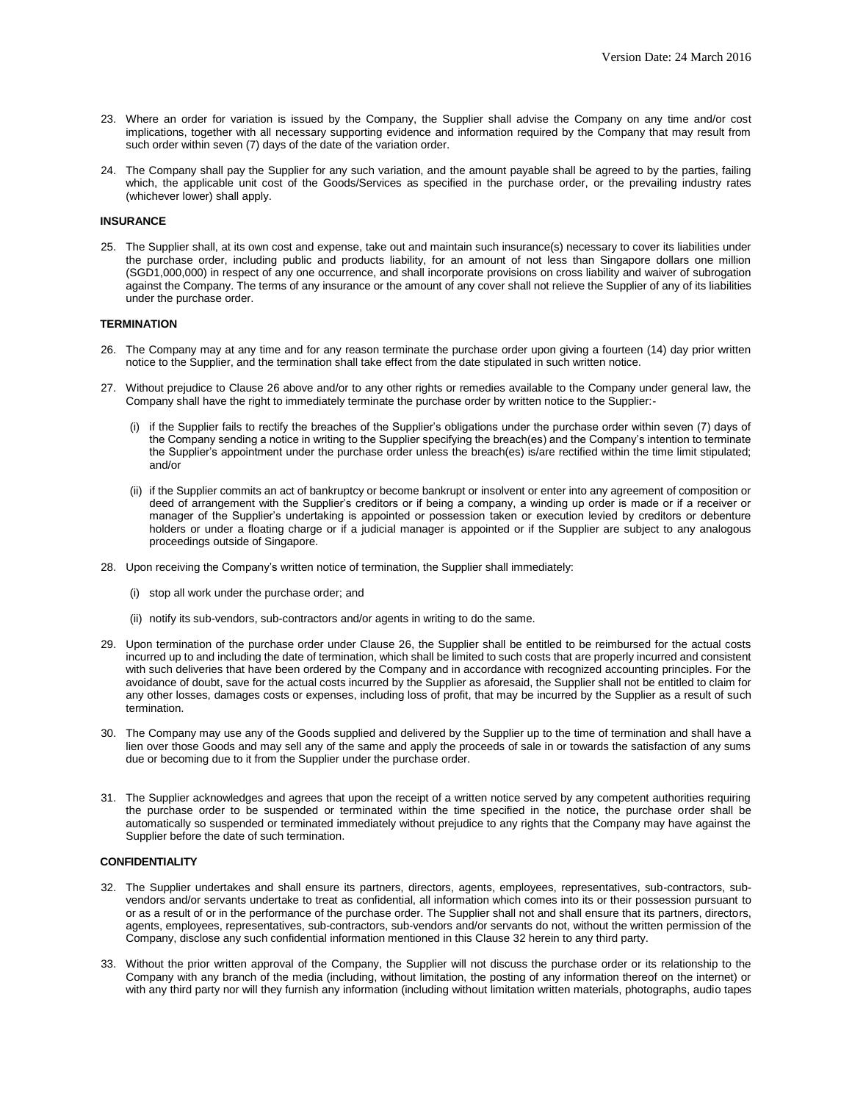- 23. Where an order for variation is issued by the Company, the Supplier shall advise the Company on any time and/or cost implications, together with all necessary supporting evidence and information required by the Company that may result from such order within seven (7) days of the date of the variation order.
- 24. The Company shall pay the Supplier for any such variation, and the amount payable shall be agreed to by the parties, failing which, the applicable unit cost of the Goods/Services as specified in the purchase order, or the prevailing industry rates (whichever lower) shall apply.

#### **INSURANCE**

25. The Supplier shall, at its own cost and expense, take out and maintain such insurance(s) necessary to cover its liabilities under the purchase order, including public and products liability, for an amount of not less than Singapore dollars one million (SGD1,000,000) in respect of any one occurrence, and shall incorporate provisions on cross liability and waiver of subrogation against the Company. The terms of any insurance or the amount of any cover shall not relieve the Supplier of any of its liabilities under the purchase order.

### **TERMINATION**

- 26. The Company may at any time and for any reason terminate the purchase order upon giving a fourteen (14) day prior written notice to the Supplier, and the termination shall take effect from the date stipulated in such written notice.
- 27. Without prejudice to Clause 26 above and/or to any other rights or remedies available to the Company under general law, the Company shall have the right to immediately terminate the purchase order by written notice to the Supplier:-
	- (i) if the Supplier fails to rectify the breaches of the Supplier's obligations under the purchase order within seven (7) days of the Company sending a notice in writing to the Supplier specifying the breach(es) and the Company's intention to terminate the Supplier's appointment under the purchase order unless the breach(es) is/are rectified within the time limit stipulated; and/or
	- (ii) if the Supplier commits an act of bankruptcy or become bankrupt or insolvent or enter into any agreement of composition or deed of arrangement with the Supplier's creditors or if being a company, a winding up order is made or if a receiver or manager of the Supplier's undertaking is appointed or possession taken or execution levied by creditors or debenture holders or under a floating charge or if a judicial manager is appointed or if the Supplier are subject to any analogous proceedings outside of Singapore.
- 28. Upon receiving the Company's written notice of termination, the Supplier shall immediately:
	- (i) stop all work under the purchase order; and
	- (ii) notify its sub-vendors, sub-contractors and/or agents in writing to do the same.
- 29. Upon termination of the purchase order under Clause 26, the Supplier shall be entitled to be reimbursed for the actual costs incurred up to and including the date of termination, which shall be limited to such costs that are properly incurred and consistent with such deliveries that have been ordered by the Company and in accordance with recognized accounting principles. For the avoidance of doubt, save for the actual costs incurred by the Supplier as aforesaid, the Supplier shall not be entitled to claim for any other losses, damages costs or expenses, including loss of profit, that may be incurred by the Supplier as a result of such termination.
- 30. The Company may use any of the Goods supplied and delivered by the Supplier up to the time of termination and shall have a lien over those Goods and may sell any of the same and apply the proceeds of sale in or towards the satisfaction of any sums due or becoming due to it from the Supplier under the purchase order.
- 31. The Supplier acknowledges and agrees that upon the receipt of a written notice served by any competent authorities requiring the purchase order to be suspended or terminated within the time specified in the notice, the purchase order shall be automatically so suspended or terminated immediately without prejudice to any rights that the Company may have against the Supplier before the date of such termination.

## **CONFIDENTIALITY**

- 32. The Supplier undertakes and shall ensure its partners, directors, agents, employees, representatives, sub-contractors, subvendors and/or servants undertake to treat as confidential, all information which comes into its or their possession pursuant to or as a result of or in the performance of the purchase order. The Supplier shall not and shall ensure that its partners, directors, agents, employees, representatives, sub-contractors, sub-vendors and/or servants do not, without the written permission of the Company, disclose any such confidential information mentioned in this Clause 32 herein to any third party.
- 33. Without the prior written approval of the Company, the Supplier will not discuss the purchase order or its relationship to the Company with any branch of the media (including, without limitation, the posting of any information thereof on the internet) or with any third party nor will they furnish any information (including without limitation written materials, photographs, audio tapes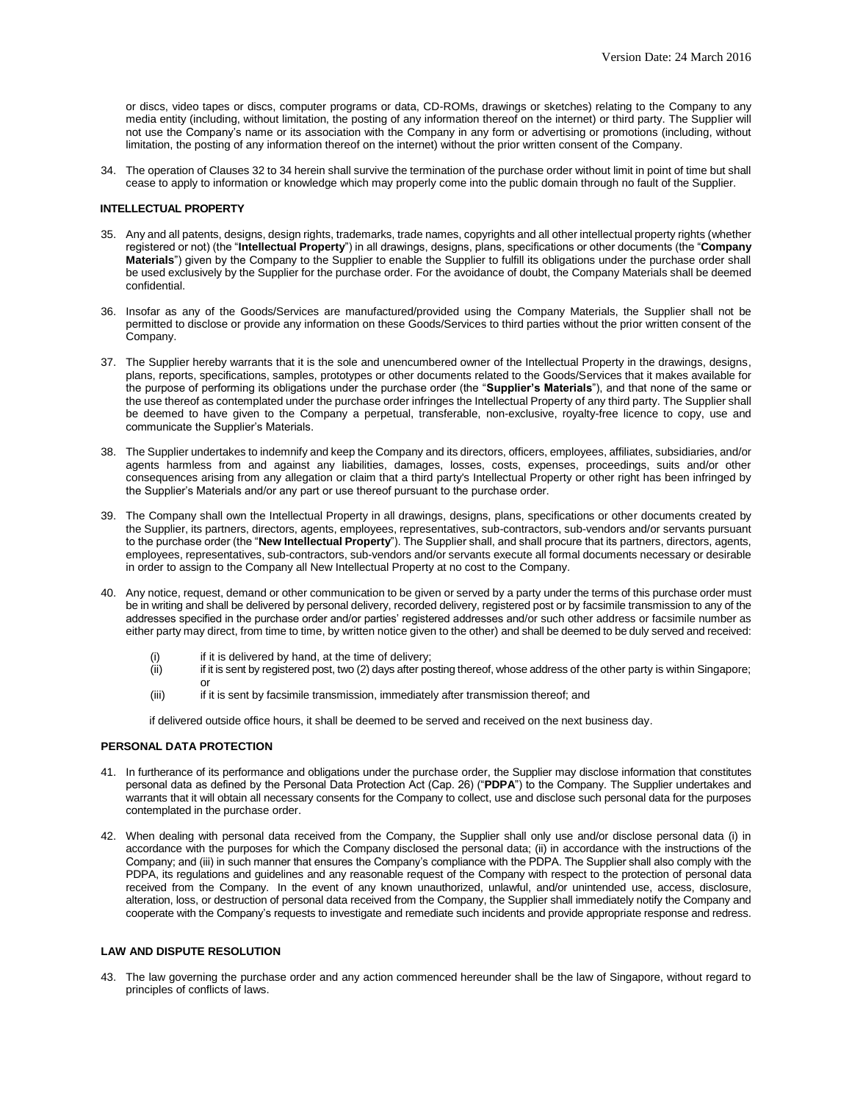or discs, video tapes or discs, computer programs or data, CD-ROMs, drawings or sketches) relating to the Company to any media entity (including, without limitation, the posting of any information thereof on the internet) or third party. The Supplier will not use the Company's name or its association with the Company in any form or advertising or promotions (including, without limitation, the posting of any information thereof on the internet) without the prior written consent of the Company.

34. The operation of Clauses 32 to 34 herein shall survive the termination of the purchase order without limit in point of time but shall cease to apply to information or knowledge which may properly come into the public domain through no fault of the Supplier.

#### **INTELLECTUAL PROPERTY**

- 35. Any and all patents, designs, design rights, trademarks, trade names, copyrights and all other intellectual property rights (whether registered or not) (the "**Intellectual Property**") in all drawings, designs, plans, specifications or other documents (the "**Company Materials**") given by the Company to the Supplier to enable the Supplier to fulfill its obligations under the purchase order shall be used exclusively by the Supplier for the purchase order. For the avoidance of doubt, the Company Materials shall be deemed confidential.
- 36. Insofar as any of the Goods/Services are manufactured/provided using the Company Materials, the Supplier shall not be permitted to disclose or provide any information on these Goods/Services to third parties without the prior written consent of the Company.
- 37. The Supplier hereby warrants that it is the sole and unencumbered owner of the Intellectual Property in the drawings, designs, plans, reports, specifications, samples, prototypes or other documents related to the Goods/Services that it makes available for the purpose of performing its obligations under the purchase order (the "**Supplier's Materials**"), and that none of the same or the use thereof as contemplated under the purchase order infringes the Intellectual Property of any third party. The Supplier shall be deemed to have given to the Company a perpetual, transferable, non-exclusive, royalty-free licence to copy, use and communicate the Supplier's Materials.
- 38. The Supplier undertakes to indemnify and keep the Company and its directors, officers, employees, affiliates, subsidiaries, and/or agents harmless from and against any liabilities, damages, losses, costs, expenses, proceedings, suits and/or other consequences arising from any allegation or claim that a third party's Intellectual Property or other right has been infringed by the Supplier's Materials and/or any part or use thereof pursuant to the purchase order.
- 39. The Company shall own the Intellectual Property in all drawings, designs, plans, specifications or other documents created by the Supplier, its partners, directors, agents, employees, representatives, sub-contractors, sub-vendors and/or servants pursuant to the purchase order (the "**New Intellectual Property**"). The Supplier shall, and shall procure that its partners, directors, agents, employees, representatives, sub-contractors, sub-vendors and/or servants execute all formal documents necessary or desirable in order to assign to the Company all New Intellectual Property at no cost to the Company.
- 40. Any notice, request, demand or other communication to be given or served by a party under the terms of this purchase order must be in writing and shall be delivered by personal delivery, recorded delivery, registered post or by facsimile transmission to any of the addresses specified in the purchase order and/or parties' registered addresses and/or such other address or facsimile number as either party may direct, from time to time, by written notice given to the other) and shall be deemed to be duly served and received:
	- (i) if it is delivered by hand, at the time of delivery;
	- (ii) if it is sent by registered post, two (2) days after posting thereof, whose address of the other party is within Singapore; or
	- (iii) if it is sent by facsimile transmission, immediately after transmission thereof; and

if delivered outside office hours, it shall be deemed to be served and received on the next business day.

#### **PERSONAL DATA PROTECTION**

- 41. In furtherance of its performance and obligations under the purchase order, the Supplier may disclose information that constitutes personal data as defined by the Personal Data Protection Act (Cap. 26) ("**PDPA**") to the Company. The Supplier undertakes and warrants that it will obtain all necessary consents for the Company to collect, use and disclose such personal data for the purposes contemplated in the purchase order.
- 42. When dealing with personal data received from the Company, the Supplier shall only use and/or disclose personal data (i) in accordance with the purposes for which the Company disclosed the personal data; (ii) in accordance with the instructions of the Company; and (iii) in such manner that ensures the Company's compliance with the PDPA. The Supplier shall also comply with the PDPA, its regulations and guidelines and any reasonable request of the Company with respect to the protection of personal data received from the Company. In the event of any known unauthorized, unlawful, and/or unintended use, access, disclosure, alteration, loss, or destruction of personal data received from the Company, the Supplier shall immediately notify the Company and cooperate with the Company's requests to investigate and remediate such incidents and provide appropriate response and redress.

# **LAW AND DISPUTE RESOLUTION**

43. The law governing the purchase order and any action commenced hereunder shall be the law of Singapore, without regard to principles of conflicts of laws.